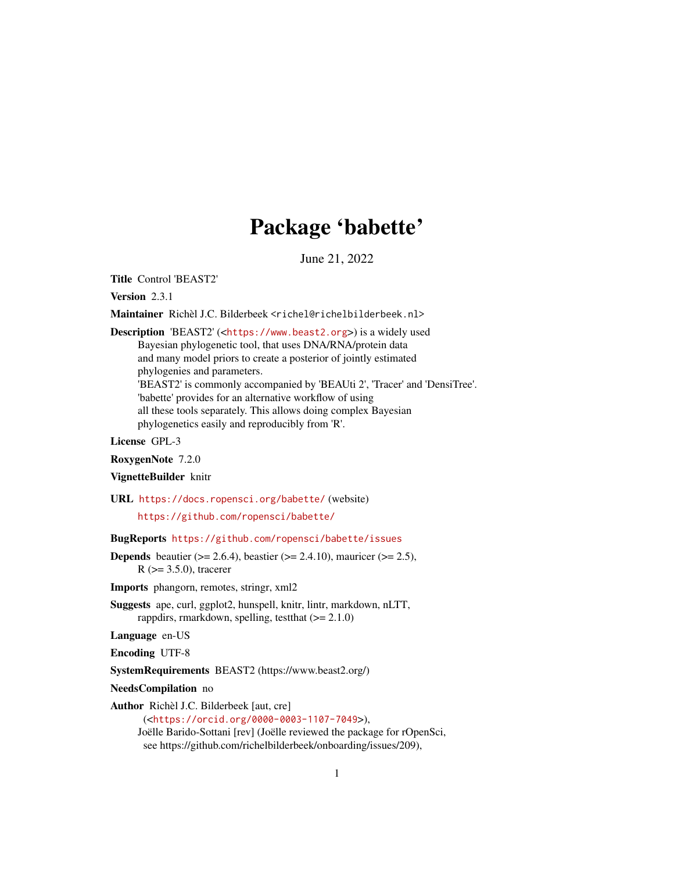# Package 'babette'

June 21, 2022

<span id="page-0-0"></span>Title Control 'BEAST2'

Version 2.3.1

Maintainer Richèl J.C. Bilderbeek <richel@richelbilderbeek.nl>

Description 'BEAST2' (<<https://www.beast2.org>>) is a widely used Bayesian phylogenetic tool, that uses DNA/RNA/protein data and many model priors to create a posterior of jointly estimated phylogenies and parameters. 'BEAST2' is commonly accompanied by 'BEAUti 2', 'Tracer' and 'DensiTree'. 'babette' provides for an alternative workflow of using all these tools separately. This allows doing complex Bayesian phylogenetics easily and reproducibly from 'R'.

License GPL-3

RoxygenNote 7.2.0

#### VignetteBuilder knitr

URL <https://docs.ropensci.org/babette/> (website)

<https://github.com/ropensci/babette/>

BugReports <https://github.com/ropensci/babette/issues>

**Depends** beautier ( $>= 2.6.4$ ), beastier ( $>= 2.4.10$ ), mauricer ( $>= 2.5$ ),  $R$  ( $>= 3.5.0$ ), tracerer

Imports phangorn, remotes, stringr, xml2

Suggests ape, curl, ggplot2, hunspell, knitr, lintr, markdown, nLTT, rappdirs, rmarkdown, spelling, test that  $(>= 2.1.0)$ 

Language en-US

Encoding UTF-8

SystemRequirements BEAST2 (https://www.beast2.org/)

NeedsCompilation no

Author Richèl J.C. Bilderbeek [aut, cre]

(<<https://orcid.org/0000-0003-1107-7049>>), Joëlle Barido-Sottani [rev] (Joëlle reviewed the package for rOpenSci, see https://github.com/richelbilderbeek/onboarding/issues/209),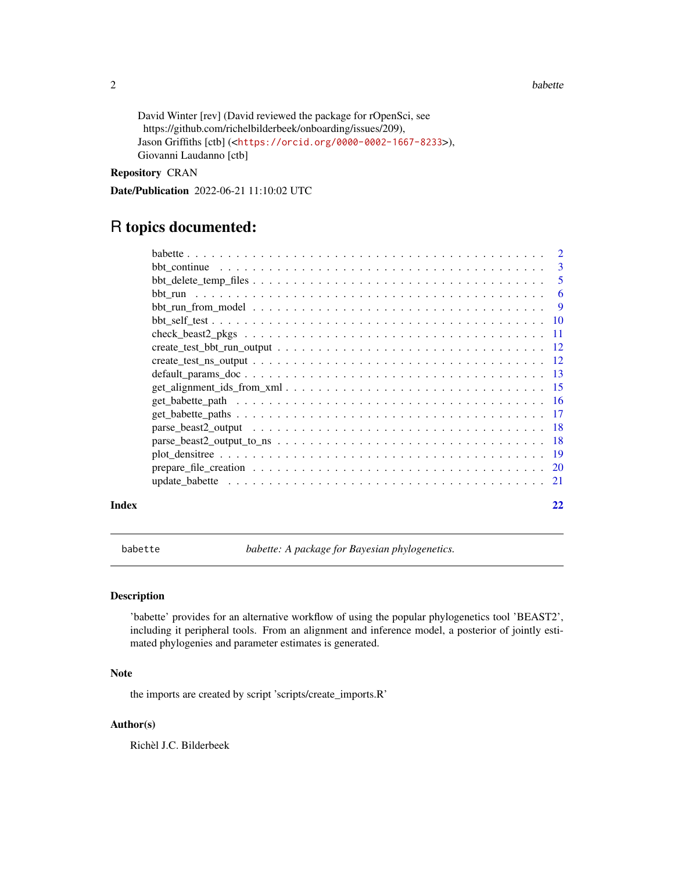#### <span id="page-1-0"></span>2 babette based on the set of the set of the set of the set of the set of the set of the set of the set of the set of the set of the set of the set of the set of the set of the set of the set of the set of the set of the s

```
David Winter [rev] (David reviewed the package for rOpenSci, see
 https://github.com/richelbilderbeek/onboarding/issues/209),
Jason Griffiths [ctb] (<https://orcid.org/0000-0002-1667-8233>),
Giovanni Laudanno [ctb]
```
# Repository CRAN

Date/Publication 2022-06-21 11:10:02 UTC

# R topics documented:

|       | $get\_alignment\_ids\_from\_xml \dots \dots \dots \dots \dots \dots \dots \dots \dots \dots \dots \dots \dots \dots \dots \dots$ |    |
|-------|----------------------------------------------------------------------------------------------------------------------------------|----|
|       |                                                                                                                                  |    |
|       |                                                                                                                                  |    |
|       |                                                                                                                                  |    |
|       |                                                                                                                                  |    |
|       |                                                                                                                                  |    |
|       |                                                                                                                                  |    |
|       |                                                                                                                                  |    |
| Index |                                                                                                                                  | 22 |

<span id="page-1-1"></span>babette *babette: A package for Bayesian phylogenetics.*

#### Description

'babette' provides for an alternative workflow of using the popular phylogenetics tool 'BEAST2', including it peripheral tools. From an alignment and inference model, a posterior of jointly estimated phylogenies and parameter estimates is generated.

# Note

the imports are created by script 'scripts/create\_imports.R'

# Author(s)

Richèl J.C. Bilderbeek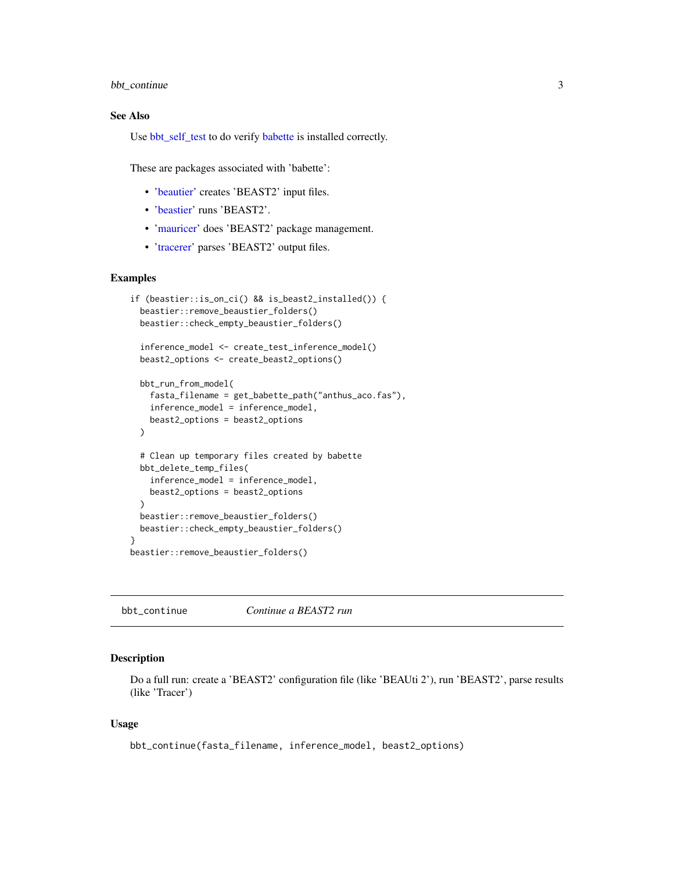### <span id="page-2-0"></span>bbt\_continue 3

# See Also

Use [bbt\\_self\\_test](#page-9-1) to do verify [babette](#page-1-1) is installed correctly.

These are packages associated with 'babette':

- ['beautier'](#page-0-0) creates 'BEAST2' input files.
- ['beastier'](#page-0-0) runs 'BEAST2'.
- ['mauricer'](#page-0-0) does 'BEAST2' package management.
- ['tracerer'](#page-0-0) parses 'BEAST2' output files.

#### Examples

```
if (beastier::is_on_ci() && is_beast2_installed()) {
 beastier::remove_beaustier_folders()
 beastier::check_empty_beaustier_folders()
 inference_model <- create_test_inference_model()
 beast2_options <- create_beast2_options()
 bbt_run_from_model(
    fasta_filename = get_babette_path("anthus_aco.fas"),
    inference_model = inference_model,
   beast2_options = beast2_options
 \lambda# Clean up temporary files created by babette
 bbt_delete_temp_files(
   inference_model = inference_model,
   beast2_options = beast2_options
 \lambdabeastier::remove_beaustier_folders()
 beastier::check_empty_beaustier_folders()
}
beastier::remove_beaustier_folders()
```
bbt\_continue *Continue a BEAST2 run*

#### Description

Do a full run: create a 'BEAST2' configuration file (like 'BEAUti 2'), run 'BEAST2', parse results (like 'Tracer')

#### Usage

bbt\_continue(fasta\_filename, inference\_model, beast2\_options)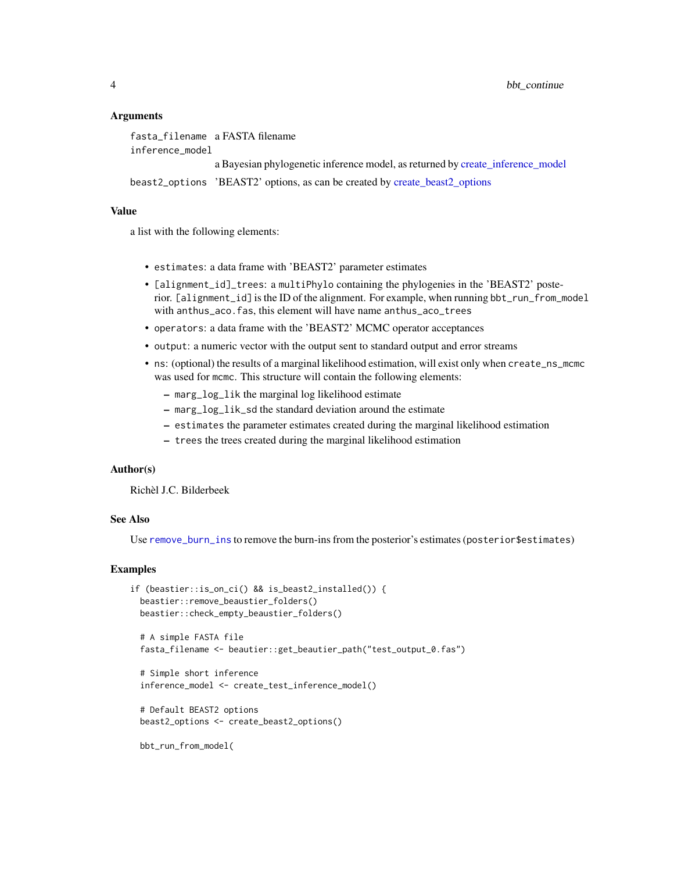#### Arguments

```
fasta_filename a FASTA filename
inference_model
                 a Bayesian phylogenetic inference model, as returned by create_inference_model
beast2_options 'BEAST2' options, as can be created by create_beast2_options
```
# Value

a list with the following elements:

- estimates: a data frame with 'BEAST2' parameter estimates
- [alignment\_id]\_trees: a multiPhylo containing the phylogenies in the 'BEAST2' posterior. [alignment\_id] is the ID of the alignment. For example, when running bbt\_run\_from\_model with anthus\_aco.fas, this element will have name anthus\_aco\_trees
- operators: a data frame with the 'BEAST2' MCMC operator acceptances
- output: a numeric vector with the output sent to standard output and error streams
- ns: (optional) the results of a marginal likelihood estimation, will exist only when create\_ns\_mcmc was used for mcmc. This structure will contain the following elements:
	- marg\_log\_lik the marginal log likelihood estimate
	- marg\_log\_lik\_sd the standard deviation around the estimate
	- estimates the parameter estimates created during the marginal likelihood estimation
	- trees the trees created during the marginal likelihood estimation

#### Author(s)

Richèl J.C. Bilderbeek

#### See Also

Use [remove\\_burn\\_ins](#page-0-0) to remove the burn-ins from the posterior's estimates (posterior\$estimates)

```
if (beastier::is_on_ci() && is_beast2_installed()) {
 beastier::remove_beaustier_folders()
 beastier::check_empty_beaustier_folders()
 # A simple FASTA file
 fasta_filename <- beautier::get_beautier_path("test_output_0.fas")
 # Simple short inference
 inference_model <- create_test_inference_model()
 # Default BEAST2 options
 beast2_options <- create_beast2_options()
 bbt_run_from_model(
```
<span id="page-3-0"></span>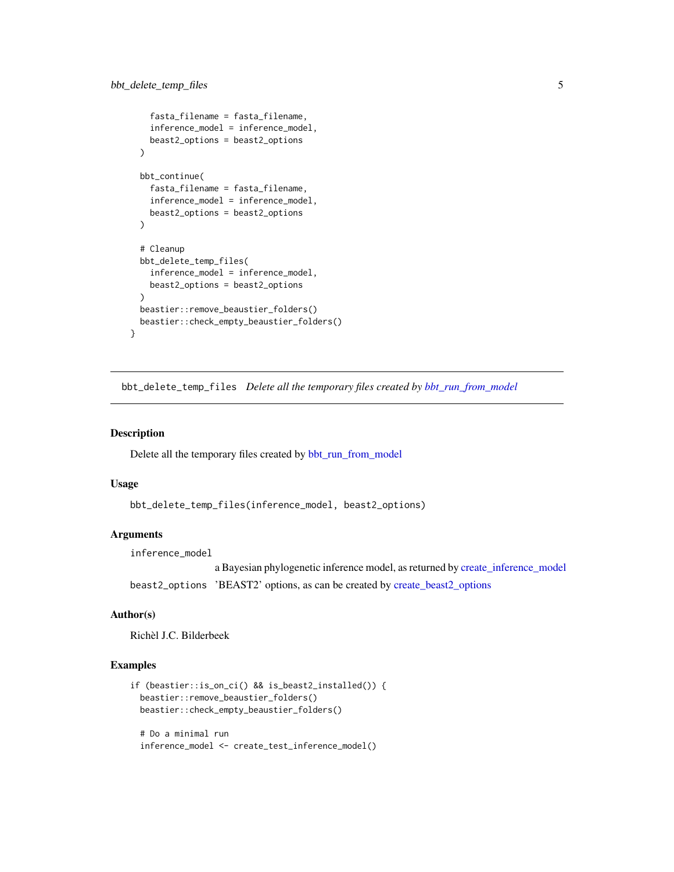```
fasta_filename = fasta_filename,
  inference_model = inference_model,
  beast2_options = beast2_options
\lambdabbt_continue(
  fasta_filename = fasta_filename,
  inference_model = inference_model,
  beast2_options = beast2_options
\lambda# Cleanup
bbt_delete_temp_files(
  inference_model = inference_model,
  beast2_options = beast2_options
)
beastier::remove_beaustier_folders()
beastier::check_empty_beaustier_folders()
```
bbt\_delete\_temp\_files *Delete all the temporary files created by [bbt\\_run\\_from\\_model](#page-8-1)*

#### Description

}

Delete all the temporary files created by [bbt\\_run\\_from\\_model](#page-8-1)

#### Usage

```
bbt_delete_temp_files(inference_model, beast2_options)
```
#### Arguments

inference\_model

a Bayesian phylogenetic inference model, as returned by [create\\_inference\\_model](#page-0-0) beast2\_options 'BEAST2' options, as can be created by [create\\_beast2\\_options](#page-0-0)

# Author(s)

Richèl J.C. Bilderbeek

```
if (beastier::is_on_ci() && is_beast2_installed()) {
 beastier::remove_beaustier_folders()
 beastier::check_empty_beaustier_folders()
 # Do a minimal run
 inference_model <- create_test_inference_model()
```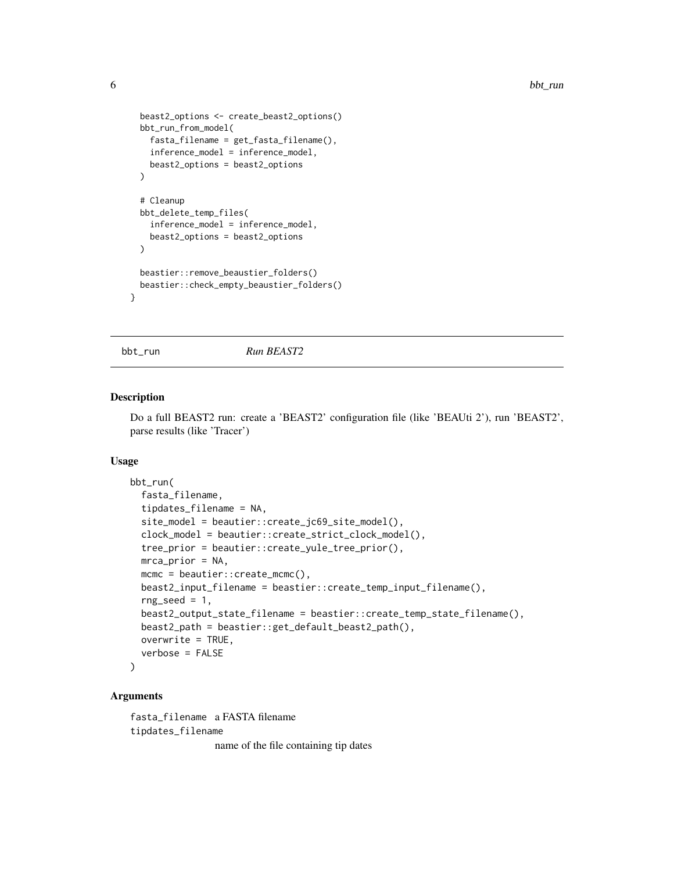```
beast2_options <- create_beast2_options()
 bbt_run_from_model(
    fasta_filename = get_fasta_filename(),
    inference_model = inference_model,
   beast2_options = beast2_options
 \lambda# Cleanup
 bbt_delete_temp_files(
    inference_model = inference_model,
   beast2_options = beast2_options
 \lambdabeastier::remove_beaustier_folders()
 beastier::check_empty_beaustier_folders()
}
```
<span id="page-5-1"></span>

bbt\_run *Run BEAST2*

#### Description

Do a full BEAST2 run: create a 'BEAST2' configuration file (like 'BEAUti 2'), run 'BEAST2', parse results (like 'Tracer')

#### Usage

```
bbt_run(
  fasta_filename,
  tipdates_filename = NA,
  site_model = beautier::create_jc69_site_model(),
  clock_model = beautier::create_strict_clock_model(),
  tree_prior = beautier::create_yule_tree_prior(),
 mca-prior = NA,
 mcmc = beautier::create_mcmc(),
  beast2_input_filename = beastier::create_temp_input_filename(),
  rng\_seed = 1,
  beast2_output_state_filename = beastier::create_temp_state_filename(),
  beast2_path = beastier::get_default_beast2_path(),
  overwrite = TRUE,
  verbose = FALSE
\lambda
```
# Arguments

fasta\_filename a FASTA filename tipdates\_filename name of the file containing tip dates

<span id="page-5-0"></span>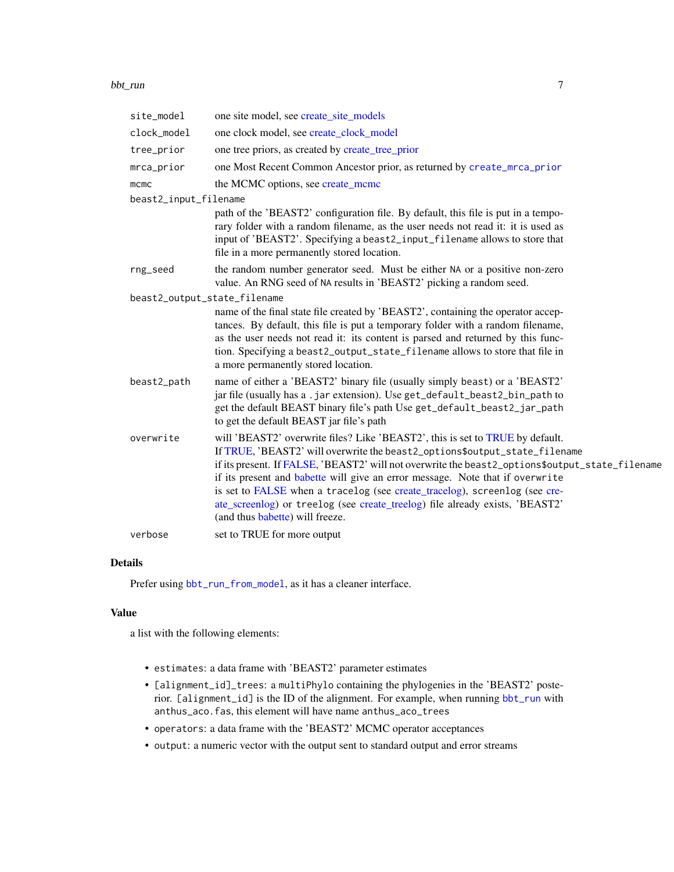#### <span id="page-6-0"></span>bbt\_run 7

| site_model                   | one site model, see create_site_models                                                                                                                                                                                                                                                                                                                                                                                                                                                                                                           |
|------------------------------|--------------------------------------------------------------------------------------------------------------------------------------------------------------------------------------------------------------------------------------------------------------------------------------------------------------------------------------------------------------------------------------------------------------------------------------------------------------------------------------------------------------------------------------------------|
| clock_model                  | one clock model, see create_clock_model                                                                                                                                                                                                                                                                                                                                                                                                                                                                                                          |
| tree_prior                   | one tree priors, as created by create_tree_prior                                                                                                                                                                                                                                                                                                                                                                                                                                                                                                 |
| mrca_prior                   | one Most Recent Common Ancestor prior, as returned by create_mrca_prior                                                                                                                                                                                                                                                                                                                                                                                                                                                                          |
| mcmc                         | the MCMC options, see create_mcmc                                                                                                                                                                                                                                                                                                                                                                                                                                                                                                                |
| beast2_input_filename        |                                                                                                                                                                                                                                                                                                                                                                                                                                                                                                                                                  |
|                              | path of the 'BEAST2' configuration file. By default, this file is put in a tempo-<br>rary folder with a random filename, as the user needs not read it: it is used as<br>input of 'BEAST2'. Specifying a beast2_input_filename allows to store that<br>file in a more permanently stored location.                                                                                                                                                                                                                                               |
| rng_seed                     | the random number generator seed. Must be either NA or a positive non-zero<br>value. An RNG seed of NA results in 'BEAST2' picking a random seed.                                                                                                                                                                                                                                                                                                                                                                                                |
| beast2_output_state_filename |                                                                                                                                                                                                                                                                                                                                                                                                                                                                                                                                                  |
|                              | name of the final state file created by 'BEAST2', containing the operator accep-<br>tances. By default, this file is put a temporary folder with a random filename,<br>as the user needs not read it: its content is parsed and returned by this func-<br>tion. Specifying a beast2_output_state_filename allows to store that file in<br>a more permanently stored location.                                                                                                                                                                    |
| beast2_path                  | name of either a 'BEAST2' binary file (usually simply beast) or a 'BEAST2'<br>jar file (usually has a .jar extension). Use get_default_beast2_bin_path to<br>get the default BEAST binary file's path Use get_default_beast2_jar_path<br>to get the default BEAST jar file's path                                                                                                                                                                                                                                                                |
| overwrite                    | will 'BEAST2' overwrite files? Like 'BEAST2', this is set to TRUE by default.<br>If TRUE, 'BEAST2' will overwrite the beast2_options\$output_state_filename<br>if its present. If FALSE, 'BEAST2' will not overwrite the beast2_options\$output_state_filename<br>if its present and babette will give an error message. Note that if overwrite<br>is set to FALSE when a tracelog (see create_tracelog), screenlog (see cre-<br>ate_screenlog) or treelog (see create_treelog) file already exists, 'BEAST2'<br>(and thus babette) will freeze. |
| verbose                      | set to TRUE for more output                                                                                                                                                                                                                                                                                                                                                                                                                                                                                                                      |

# Details

Prefer using [bbt\\_run\\_from\\_model](#page-8-1), as it has a cleaner interface.

# Value

a list with the following elements:

- estimates: a data frame with 'BEAST2' parameter estimates
- [alignment\_id]\_trees: a multiPhylo containing the phylogenies in the 'BEAST2' posterior. [alignment\_id] is the ID of the alignment. For example, when running [bbt\\_run](#page-5-1) with anthus\_aco.fas, this element will have name anthus\_aco\_trees
- operators: a data frame with the 'BEAST2' MCMC operator acceptances
- output: a numeric vector with the output sent to standard output and error streams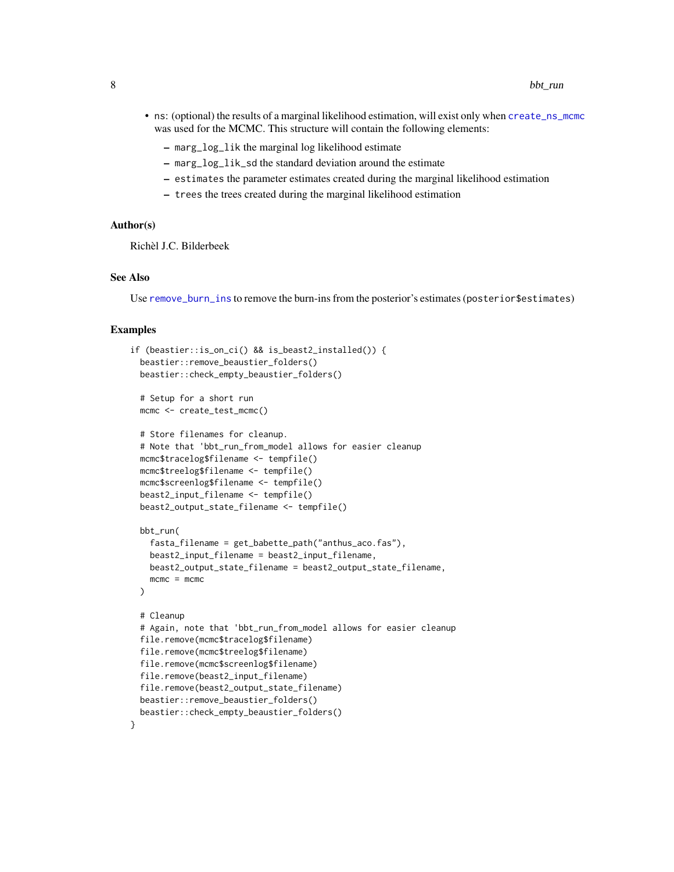- <span id="page-7-0"></span>• ns: (optional) the results of a marginal likelihood estimation, will exist only when [create\\_ns\\_mcmc](#page-0-0) was used for the MCMC. This structure will contain the following elements:
	- marg\_log\_lik the marginal log likelihood estimate
	- marg\_log\_lik\_sd the standard deviation around the estimate
	- estimates the parameter estimates created during the marginal likelihood estimation
	- trees the trees created during the marginal likelihood estimation

#### Author(s)

Richèl J.C. Bilderbeek

#### See Also

Use [remove\\_burn\\_ins](#page-0-0) to remove the burn-ins from the posterior's estimates (posterior\$estimates)

```
if (beastier::is_on_ci() && is_beast2_installed()) {
 beastier::remove_beaustier_folders()
 beastier::check_empty_beaustier_folders()
 # Setup for a short run
 mcmc <- create_test_mcmc()
 # Store filenames for cleanup.
 # Note that 'bbt_run_from_model allows for easier cleanup
 mcmc$tracelog$filename <- tempfile()
 mcmc$treelog$filename <- tempfile()
 mcmc$screenlog$filename <- tempfile()
 beast2_input_filename <- tempfile()
 beast2_output_state_filename <- tempfile()
 bbt_run(
    fasta_filename = get_babette_path("anthus_aco.fas"),
   beast2_input_filename = beast2_input_filename,
   beast2_output_state_filename = beast2_output_state_filename,
   mcmc = mcmc
 )
 # Cleanup
 # Again, note that 'bbt_run_from_model allows for easier cleanup
 file.remove(mcmc$tracelog$filename)
 file.remove(mcmc$treelog$filename)
 file.remove(mcmc$screenlog$filename)
 file.remove(beast2_input_filename)
 file.remove(beast2_output_state_filename)
 beastier::remove_beaustier_folders()
 beastier::check_empty_beaustier_folders()
}
```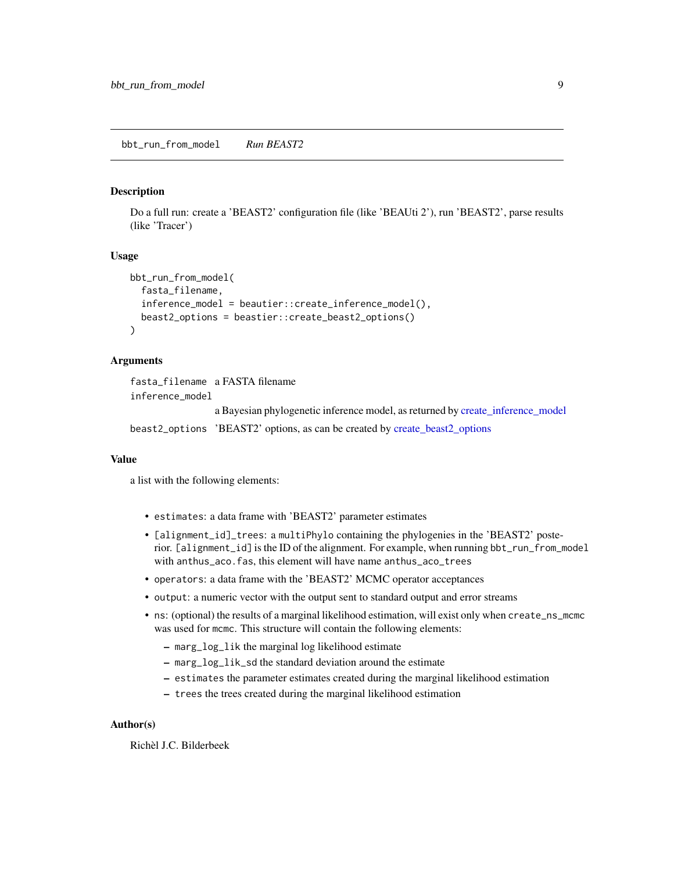#### <span id="page-8-1"></span><span id="page-8-0"></span>Description

Do a full run: create a 'BEAST2' configuration file (like 'BEAUti 2'), run 'BEAST2', parse results (like 'Tracer')

#### Usage

```
bbt_run_from_model(
  fasta_filename,
  inference_model = beautier::create_inference_model(),
  beast2_options = beastier::create_beast2_options()
)
```
# Arguments

fasta\_filename a FASTA filename inference\_model

a Bayesian phylogenetic inference model, as returned by [create\\_inference\\_model](#page-0-0)

beast2\_options 'BEAST2' options, as can be created by [create\\_beast2\\_options](#page-0-0)

#### Value

a list with the following elements:

- estimates: a data frame with 'BEAST2' parameter estimates
- [alignment\_id]\_trees: a multiPhylo containing the phylogenies in the 'BEAST2' posterior. [alignment\_id] is the ID of the alignment. For example, when running bbt\_run\_from\_model with anthus\_aco.fas, this element will have name anthus\_aco\_trees
- operators: a data frame with the 'BEAST2' MCMC operator acceptances
- output: a numeric vector with the output sent to standard output and error streams
- ns: (optional) the results of a marginal likelihood estimation, will exist only when create\_ns\_mcmc was used for mcmc. This structure will contain the following elements:
	- marg\_log\_lik the marginal log likelihood estimate
	- marg\_log\_lik\_sd the standard deviation around the estimate
	- estimates the parameter estimates created during the marginal likelihood estimation
	- trees the trees created during the marginal likelihood estimation

#### Author(s)

Richèl J.C. Bilderbeek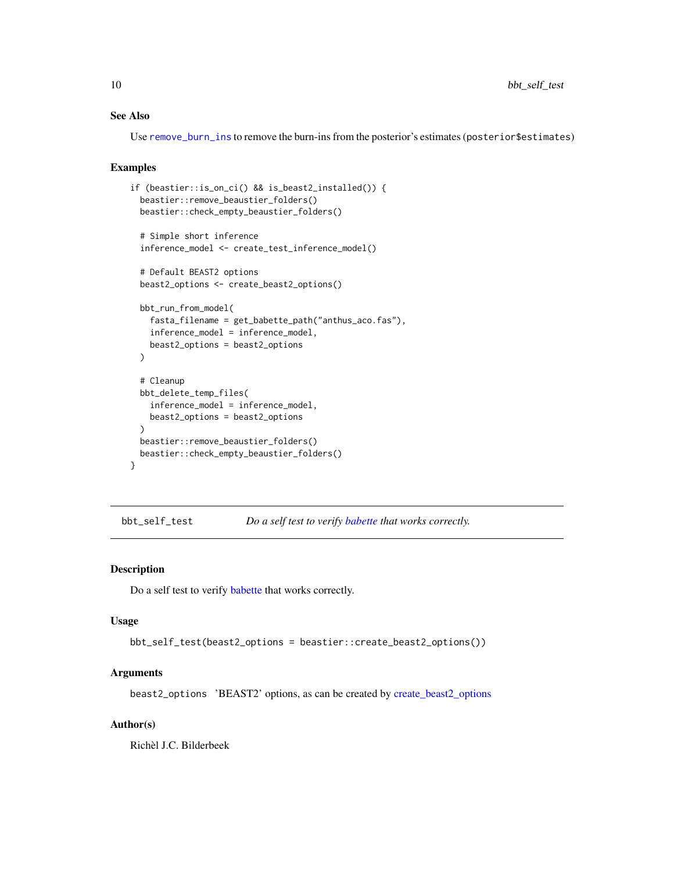# <span id="page-9-0"></span>See Also

Use [remove\\_burn\\_ins](#page-0-0) to remove the burn-ins from the posterior's estimates (posterior\$estimates)

#### Examples

```
if (beastier::is_on_ci() && is_beast2_installed()) {
 beastier::remove_beaustier_folders()
 beastier::check_empty_beaustier_folders()
 # Simple short inference
 inference_model <- create_test_inference_model()
 # Default BEAST2 options
 beast2_options <- create_beast2_options()
 bbt_run_from_model(
    fasta_filename = get_babette_path("anthus_aco.fas"),
    inference_model = inference_model,
   beast2_options = beast2_options
 )
 # Cleanup
 bbt_delete_temp_files(
    inference_model = inference_model,
   beast2_options = beast2_options
 \lambdabeastier::remove_beaustier_folders()
 beastier::check_empty_beaustier_folders()
}
```
<span id="page-9-1"></span>bbt\_self\_test *Do a self test to verify [babette](#page-1-1) that works correctly.*

# Description

Do a self test to verify [babette](#page-1-1) that works correctly.

#### Usage

```
bbt_self_test(beast2_options = beastier::create_beast2_options())
```
#### Arguments

beast2\_options 'BEAST2' options, as can be created by [create\\_beast2\\_options](#page-0-0)

# Author(s)

Richèl J.C. Bilderbeek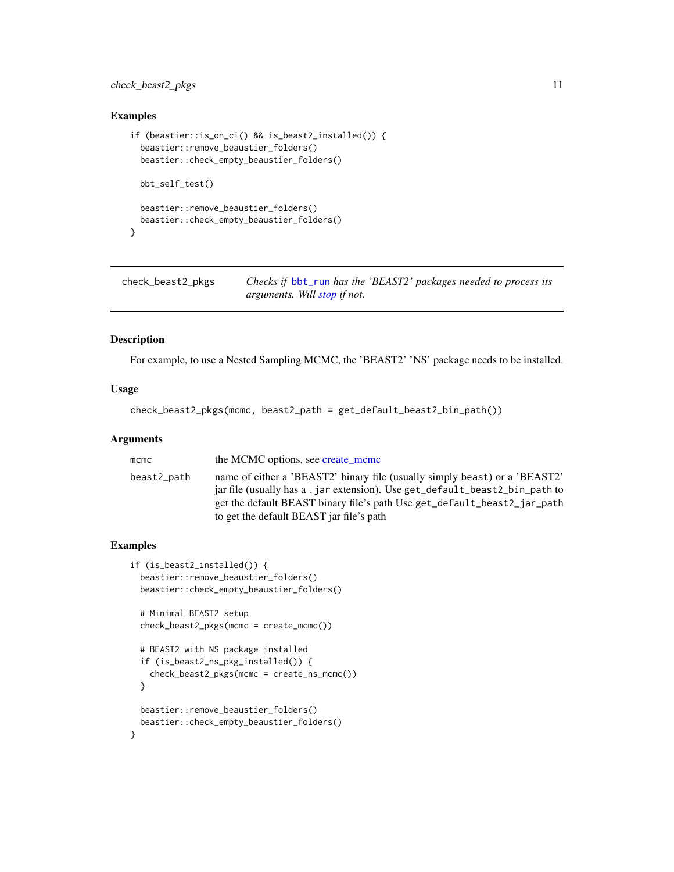# <span id="page-10-0"></span>check\_beast2\_pkgs 11

# Examples

```
if (beastier::is_on_ci() && is_beast2_installed()) {
 beastier::remove_beaustier_folders()
 beastier::check_empty_beaustier_folders()
 bbt_self_test()
 beastier::remove_beaustier_folders()
 beastier::check_empty_beaustier_folders()
}
```
check\_beast2\_pkgs *Checks if* [bbt\\_run](#page-5-1) *has the 'BEAST2' packages needed to process its arguments. Will [stop](#page-0-0) if not.*

# Description

For example, to use a Nested Sampling MCMC, the 'BEAST2' 'NS' package needs to be installed.

#### Usage

```
check_beast2_pkgs(mcmc, beast2_path = get_default_beast2_bin_path())
```
#### Arguments

| mcmc        | the MCMC options, see create_mcmc                                                                                                                                                                                                                                                 |
|-------------|-----------------------------------------------------------------------------------------------------------------------------------------------------------------------------------------------------------------------------------------------------------------------------------|
| beast2_path | name of either a 'BEAST2' binary file (usually simply beast) or a 'BEAST2'<br>jar file (usually has a .jar extension). Use get_default_beast2_bin_path to<br>get the default BEAST binary file's path Use get_default_beast2_jar_path<br>to get the default BEAST jar file's path |
|             |                                                                                                                                                                                                                                                                                   |

```
if (is_beast2_installed()) {
 beastier::remove_beaustier_folders()
 beastier::check_empty_beaustier_folders()
 # Minimal BEAST2 setup
 check_beast2_pkgs(mcmc = create_mcmc())
 # BEAST2 with NS package installed
 if (is_beast2_ns_pkg_installed()) {
    check_beast2_pkgs(mcmc = create_ns_mcmc())
 }
 beastier::remove_beaustier_folders()
 beastier::check_empty_beaustier_folders()
}
```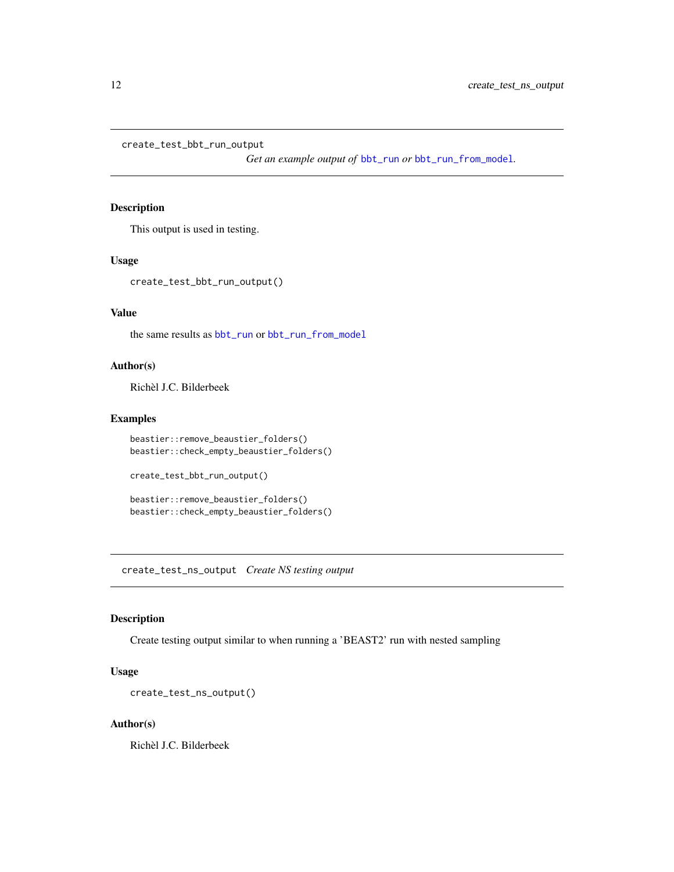```
create_test_bbt_run_output
```
*Get an example output of* [bbt\\_run](#page-5-1) *or* [bbt\\_run\\_from\\_model](#page-8-1)*.*

# Description

This output is used in testing.

# Usage

```
create_test_bbt_run_output()
```
#### Value

the same results as [bbt\\_run](#page-5-1) or [bbt\\_run\\_from\\_model](#page-8-1)

#### Author(s)

Richèl J.C. Bilderbeek

# Examples

```
beastier::remove_beaustier_folders()
beastier::check_empty_beaustier_folders()
```
create\_test\_bbt\_run\_output()

```
beastier::remove_beaustier_folders()
beastier::check_empty_beaustier_folders()
```
<span id="page-11-1"></span>create\_test\_ns\_output *Create NS testing output*

# Description

Create testing output similar to when running a 'BEAST2' run with nested sampling

# Usage

```
create_test_ns_output()
```
#### Author(s)

Richèl J.C. Bilderbeek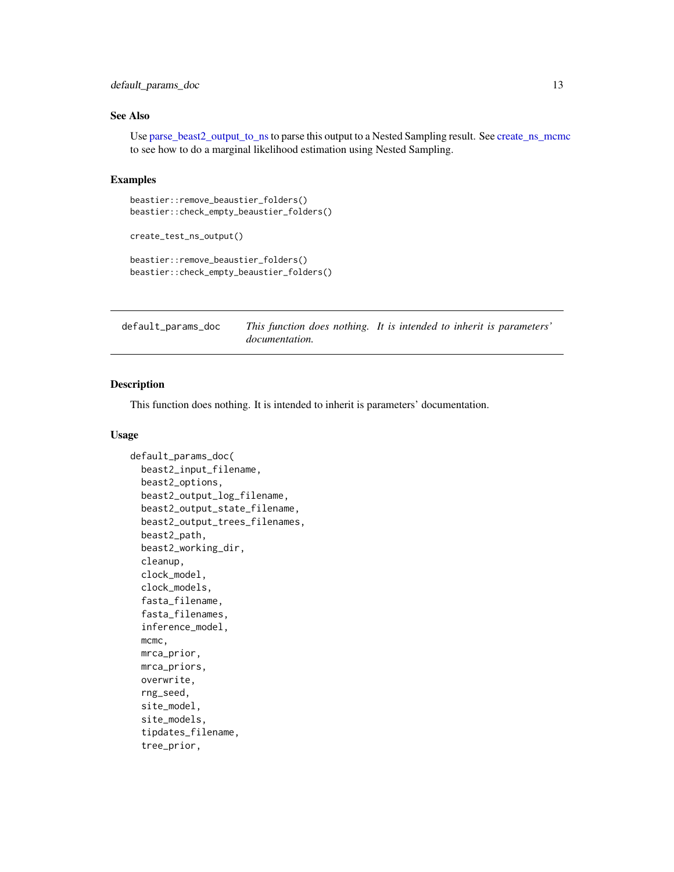# <span id="page-12-0"></span>default\_params\_doc 13

# See Also

Use [parse\\_beast2\\_output\\_to\\_ns](#page-17-1)to parse this output to a Nested Sampling result. See [create\\_ns\\_mcmc](#page-0-0) to see how to do a marginal likelihood estimation using Nested Sampling.

#### Examples

```
beastier::remove_beaustier_folders()
beastier::check_empty_beaustier_folders()
```

```
create_test_ns_output()
```

```
beastier::remove_beaustier_folders()
beastier::check_empty_beaustier_folders()
```

| default_params_doc |                       | This function does nothing. It is intended to inherit is parameters' |
|--------------------|-----------------------|----------------------------------------------------------------------|
|                    | <i>documentation.</i> |                                                                      |

# Description

This function does nothing. It is intended to inherit is parameters' documentation.

#### Usage

```
default_params_doc(
 beast2_input_filename,
  beast2_options,
 beast2_output_log_filename,
  beast2_output_state_filename,
  beast2_output_trees_filenames,
  beast2_path,
 beast2_working_dir,
  cleanup,
  clock_model,
  clock_models,
  fasta_filename,
  fasta_filenames,
  inference_model,
 mcmc,
 mrca_prior,
 mrca_priors,
  overwrite,
  rng_seed,
  site_model,
  site_models,
  tipdates_filename,
  tree_prior,
```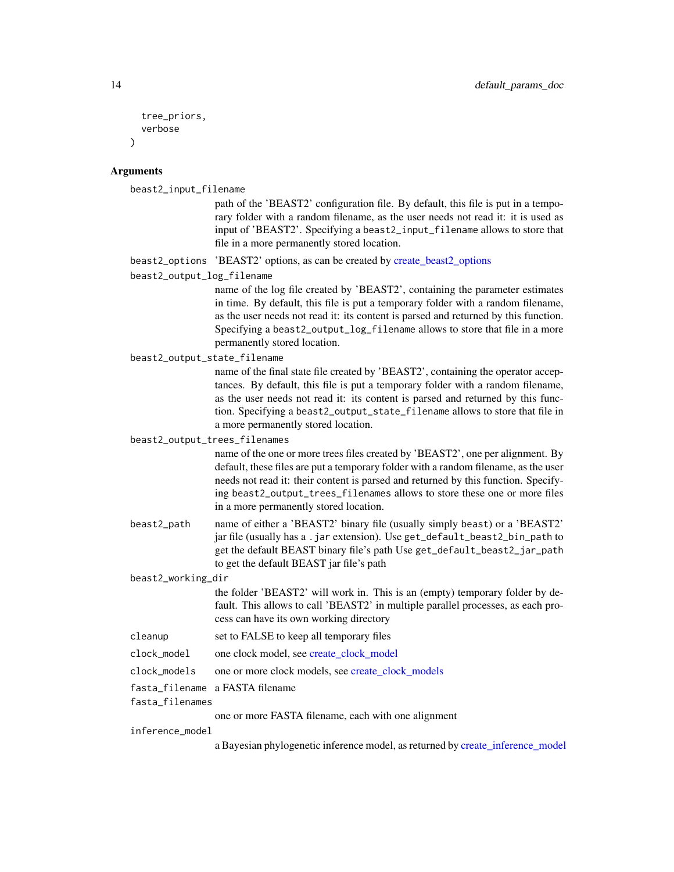```
tree_priors,
  verbose
)
```
#### Arguments

beast2\_input\_filename

path of the 'BEAST2' configuration file. By default, this file is put in a temporary folder with a random filename, as the user needs not read it: it is used as input of 'BEAST2'. Specifying a beast2\_input\_filename allows to store that file in a more permanently stored location.

beast2\_options 'BEAST2' options, as can be created by [create\\_beast2\\_options](#page-0-0)

beast2\_output\_log\_filename

name of the log file created by 'BEAST2', containing the parameter estimates in time. By default, this file is put a temporary folder with a random filename, as the user needs not read it: its content is parsed and returned by this function. Specifying a beast2\_output\_log\_filename allows to store that file in a more permanently stored location.

beast2\_output\_state\_filename

name of the final state file created by 'BEAST2', containing the operator acceptances. By default, this file is put a temporary folder with a random filename, as the user needs not read it: its content is parsed and returned by this function. Specifying a beast2\_output\_state\_filename allows to store that file in a more permanently stored location.

beast2\_output\_trees\_filenames

name of the one or more trees files created by 'BEAST2', one per alignment. By default, these files are put a temporary folder with a random filename, as the user needs not read it: their content is parsed and returned by this function. Specifying beast2\_output\_trees\_filenames allows to store these one or more files in a more permanently stored location.

beast2\_path name of either a 'BEAST2' binary file (usually simply beast) or a 'BEAST2' jar file (usually has a .jar extension). Use get\_default\_beast2\_bin\_path to get the default BEAST binary file's path Use get\_default\_beast2\_jar\_path to get the default BEAST jar file's path

beast2\_working\_dir

the folder 'BEAST2' will work in. This is an (empty) temporary folder by default. This allows to call 'BEAST2' in multiple parallel processes, as each process can have its own working directory

cleanup set to FALSE to keep all temporary files

clock\_model one clock model, see [create\\_clock\\_model](#page-0-0)

- clock\_models one or more clock models, see [create\\_clock\\_models](#page-0-0)
- fasta\_filename a FASTA filename

```
fasta_filenames
```
one or more FASTA filename, each with one alignment

inference\_model

a Bayesian phylogenetic inference model, as returned by [create\\_inference\\_model](#page-0-0)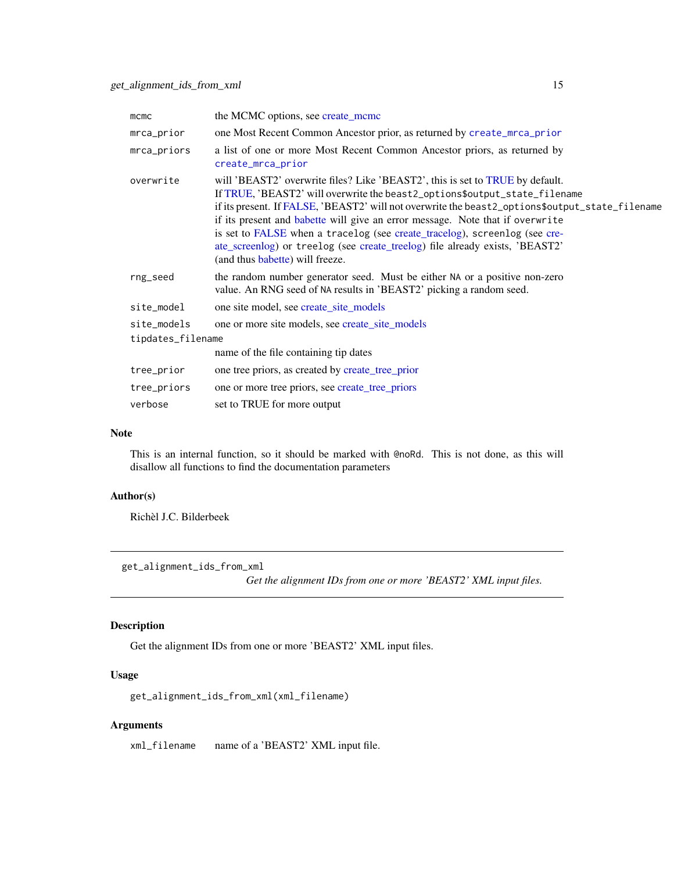<span id="page-14-0"></span>

| $m$ $cm$ $c$                                                                        | the MCMC options, see create_mcmc                                                                                                                                                                                                                                                                                                                                                                                                                                                                                                                |
|-------------------------------------------------------------------------------------|--------------------------------------------------------------------------------------------------------------------------------------------------------------------------------------------------------------------------------------------------------------------------------------------------------------------------------------------------------------------------------------------------------------------------------------------------------------------------------------------------------------------------------------------------|
| mrca_prior                                                                          | one Most Recent Common Ancestor prior, as returned by create_mrca_prior                                                                                                                                                                                                                                                                                                                                                                                                                                                                          |
| mrca_priors                                                                         | a list of one or more Most Recent Common Ancestor priors, as returned by<br>create_mrca_prior                                                                                                                                                                                                                                                                                                                                                                                                                                                    |
| overwrite                                                                           | will 'BEAST2' overwrite files? Like 'BEAST2', this is set to TRUE by default.<br>If TRUE, 'BEAST2' will overwrite the beast2_options\$output_state_filename<br>if its present. If FALSE, 'BEAST2' will not overwrite the beast2_options\$output_state_filename<br>if its present and babette will give an error message. Note that if overwrite<br>is set to FALSE when a tracelog (see create_tracelog), screenlog (see cre-<br>ate_screenlog) or treelog (see create_treelog) file already exists, 'BEAST2'<br>(and thus babette) will freeze. |
| rng_seed                                                                            | the random number generator seed. Must be either NA or a positive non-zero<br>value. An RNG seed of NA results in 'BEAST2' picking a random seed.                                                                                                                                                                                                                                                                                                                                                                                                |
| site_model                                                                          | one site model, see create_site_models                                                                                                                                                                                                                                                                                                                                                                                                                                                                                                           |
| one or more site models, see create_site_models<br>site_models<br>tipdates_filename |                                                                                                                                                                                                                                                                                                                                                                                                                                                                                                                                                  |
|                                                                                     | name of the file containing tip dates                                                                                                                                                                                                                                                                                                                                                                                                                                                                                                            |
| tree_prior                                                                          | one tree priors, as created by create_tree_prior                                                                                                                                                                                                                                                                                                                                                                                                                                                                                                 |
| tree_priors                                                                         | one or more tree priors, see create_tree_priors                                                                                                                                                                                                                                                                                                                                                                                                                                                                                                  |
| verbose                                                                             | set to TRUE for more output                                                                                                                                                                                                                                                                                                                                                                                                                                                                                                                      |

#### Note

This is an internal function, so it should be marked with @noRd. This is not done, as this will disallow all functions to find the documentation parameters

# Author(s)

Richèl J.C. Bilderbeek

get\_alignment\_ids\_from\_xml

*Get the alignment IDs from one or more 'BEAST2' XML input files.*

# Description

Get the alignment IDs from one or more 'BEAST2' XML input files.

# Usage

get\_alignment\_ids\_from\_xml(xml\_filename)

# Arguments

xml\_filename name of a 'BEAST2' XML input file.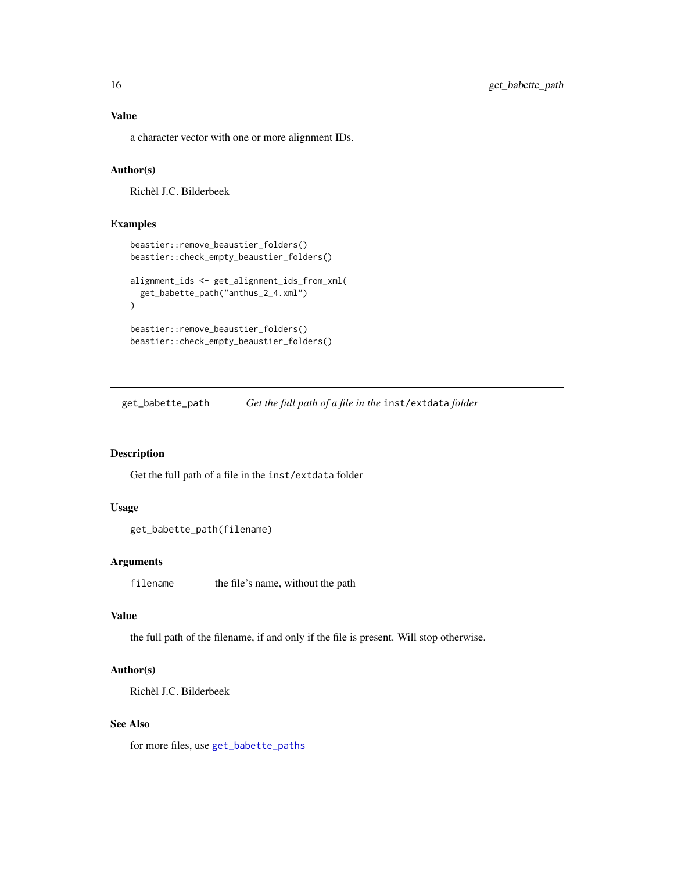<span id="page-15-0"></span>a character vector with one or more alignment IDs.

# Author(s)

Richèl J.C. Bilderbeek

# Examples

```
beastier::remove_beaustier_folders()
beastier::check_empty_beaustier_folders()
alignment_ids <- get_alignment_ids_from_xml(
  get_babette_path("anthus_2_4.xml")
\lambdabeastier::remove_beaustier_folders()
beastier::check_empty_beaustier_folders()
```
<span id="page-15-1"></span>get\_babette\_path *Get the full path of a file in the* inst/extdata *folder*

# Description

Get the full path of a file in the inst/extdata folder

# Usage

```
get_babette_path(filename)
```
#### Arguments

filename the file's name, without the path

#### Value

the full path of the filename, if and only if the file is present. Will stop otherwise.

# Author(s)

Richèl J.C. Bilderbeek

#### See Also

for more files, use [get\\_babette\\_paths](#page-16-1)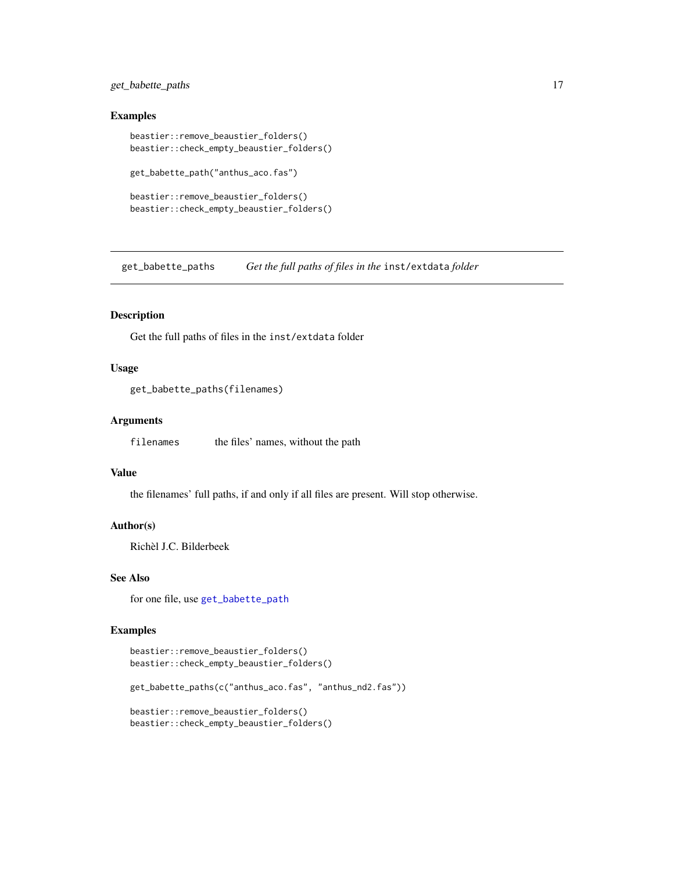# <span id="page-16-0"></span>get\_babette\_paths 17

#### Examples

```
beastier::remove_beaustier_folders()
beastier::check_empty_beaustier_folders()
get_babette_path("anthus_aco.fas")
beastier::remove_beaustier_folders()
beastier::check_empty_beaustier_folders()
```
<span id="page-16-1"></span>get\_babette\_paths *Get the full paths of files in the* inst/extdata *folder*

# Description

Get the full paths of files in the inst/extdata folder

### Usage

```
get_babette_paths(filenames)
```
#### Arguments

filenames the files' names, without the path

# Value

the filenames' full paths, if and only if all files are present. Will stop otherwise.

# Author(s)

Richèl J.C. Bilderbeek

# See Also

for one file, use [get\\_babette\\_path](#page-15-1)

```
beastier::remove_beaustier_folders()
beastier::check_empty_beaustier_folders()
get_babette_paths(c("anthus_aco.fas", "anthus_nd2.fas"))
beastier::remove_beaustier_folders()
beastier::check_empty_beaustier_folders()
```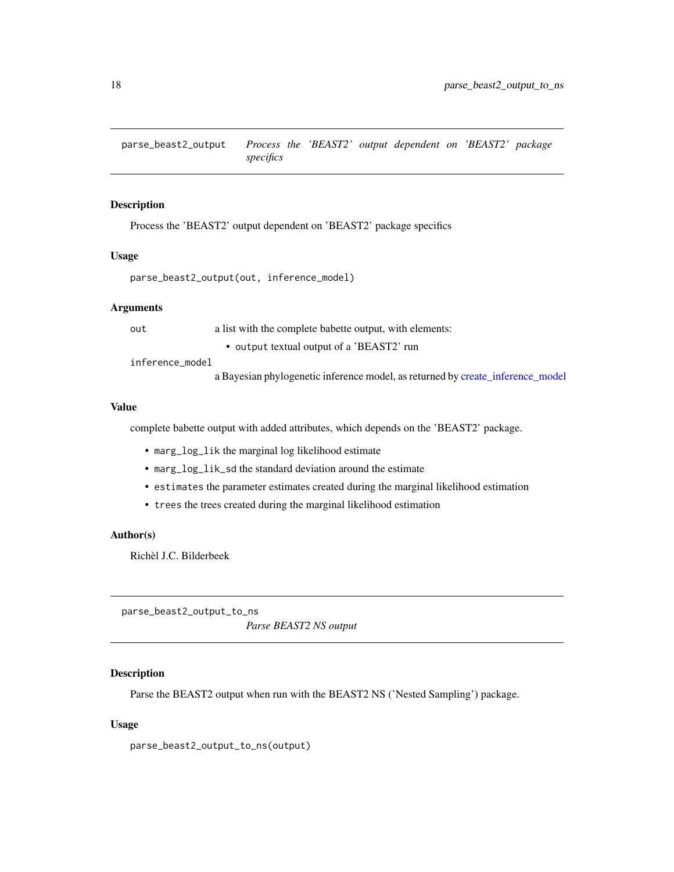<span id="page-17-0"></span>parse\_beast2\_output *Process the 'BEAST2' output dependent on 'BEAST2' package specifics*

# Description

Process the 'BEAST2' output dependent on 'BEAST2' package specifics

#### Usage

```
parse_beast2_output(out, inference_model)
```
# Arguments

out a list with the complete babette output, with elements:

• output textual output of a 'BEAST2' run

inference\_model

a Bayesian phylogenetic inference model, as returned by [create\\_inference\\_model](#page-0-0)

# Value

complete babette output with added attributes, which depends on the 'BEAST2' package.

- marg\_log\_lik the marginal log likelihood estimate
- marg\_log\_lik\_sd the standard deviation around the estimate
- estimates the parameter estimates created during the marginal likelihood estimation
- trees the trees created during the marginal likelihood estimation

#### Author(s)

Richèl J.C. Bilderbeek

<span id="page-17-1"></span>parse\_beast2\_output\_to\_ns *Parse BEAST2 NS output*

# Description

Parse the BEAST2 output when run with the BEAST2 NS ('Nested Sampling') package.

#### Usage

parse\_beast2\_output\_to\_ns(output)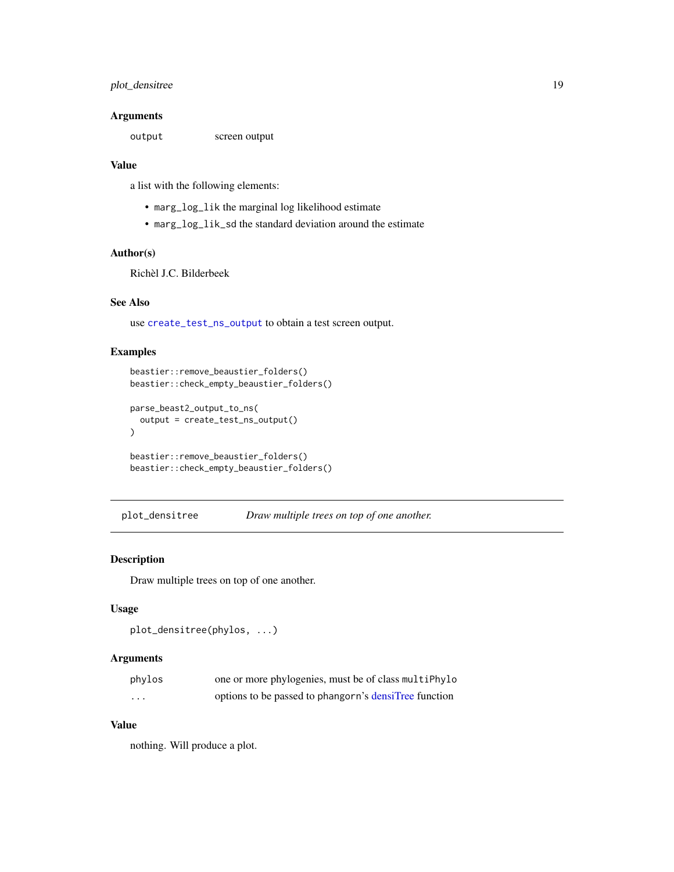# <span id="page-18-0"></span>plot\_densitree 19

# Arguments

output screen output

# Value

a list with the following elements:

- marg\_log\_lik the marginal log likelihood estimate
- marg\_log\_lik\_sd the standard deviation around the estimate

# Author(s)

Richèl J.C. Bilderbeek

# See Also

use [create\\_test\\_ns\\_output](#page-11-1) to obtain a test screen output.

# Examples

```
beastier::remove_beaustier_folders()
beastier::check_empty_beaustier_folders()
parse_beast2_output_to_ns(
  output = create_test_ns_output()
)
beastier::remove_beaustier_folders()
beastier::check_empty_beaustier_folders()
```
plot\_densitree *Draw multiple trees on top of one another.*

# Description

Draw multiple trees on top of one another.

# Usage

```
plot_densitree(phylos, ...)
```
# Arguments

| phylos | one or more phylogenies, must be of class multiPhylo  |
|--------|-------------------------------------------------------|
| .      | options to be passed to phangorn's densiTree function |

# Value

nothing. Will produce a plot.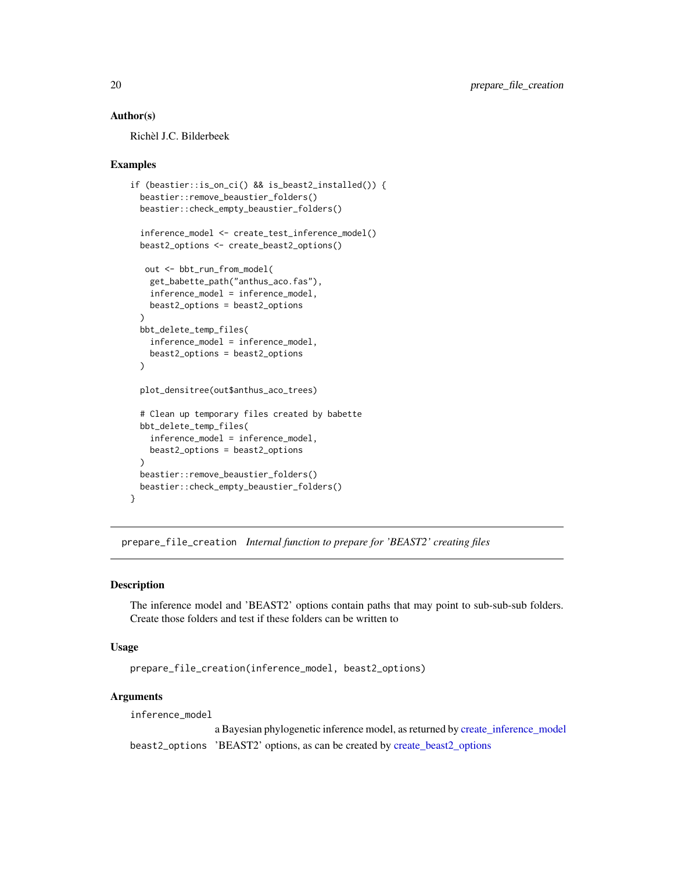# <span id="page-19-0"></span>Author(s)

Richèl J.C. Bilderbeek

#### Examples

```
if (beastier::is_on_ci() && is_beast2_installed()) {
 beastier::remove_beaustier_folders()
 beastier::check_empty_beaustier_folders()
 inference_model <- create_test_inference_model()
 beast2_options <- create_beast2_options()
  out <- bbt_run_from_model(
   get_babette_path("anthus_aco.fas"),
   inference_model = inference_model,
   beast2_options = beast2_options
 \lambdabbt_delete_temp_files(
    inference_model = inference_model,
   beast2_options = beast2_options
 )
 plot_densitree(out$anthus_aco_trees)
 # Clean up temporary files created by babette
 bbt_delete_temp_files(
   inference_model = inference_model,
   beast2_options = beast2_options
 \lambdabeastier::remove_beaustier_folders()
 beastier::check_empty_beaustier_folders()
}
```
prepare\_file\_creation *Internal function to prepare for 'BEAST2' creating files*

### Description

The inference model and 'BEAST2' options contain paths that may point to sub-sub-sub folders. Create those folders and test if these folders can be written to

#### Usage

```
prepare_file_creation(inference_model, beast2_options)
```
# Arguments

inference\_model

a Bayesian phylogenetic inference model, as returned by [create\\_inference\\_model](#page-0-0) beast2\_options 'BEAST2' options, as can be created by [create\\_beast2\\_options](#page-0-0)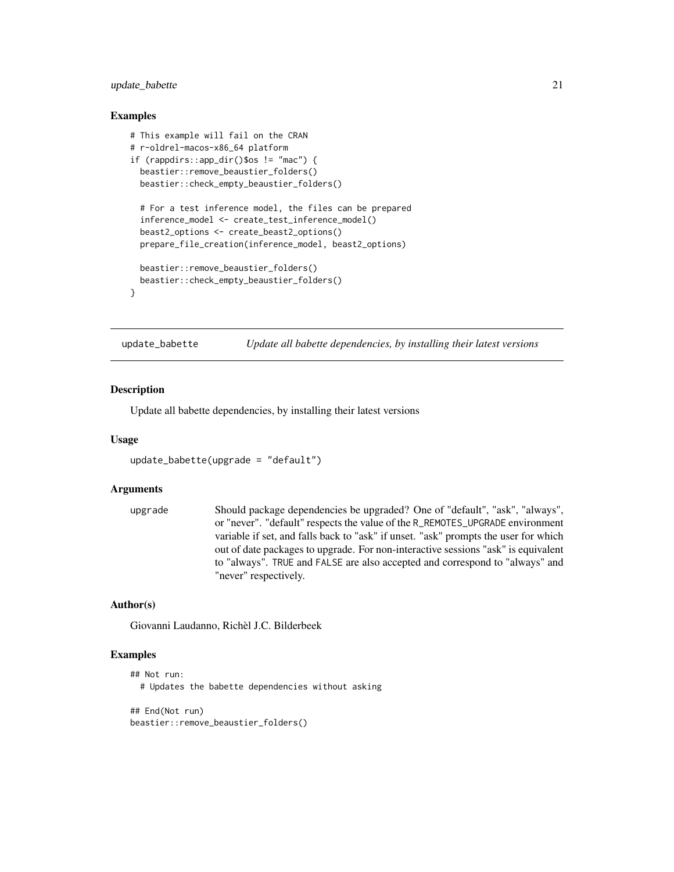# <span id="page-20-0"></span>update\_babette 21

#### Examples

```
# This example will fail on the CRAN
# r-oldrel-macos-x86_64 platform
if (rappdirs::app_dir()$os != "mac") {
 beastier::remove_beaustier_folders()
 beastier::check_empty_beaustier_folders()
 # For a test inference model, the files can be prepared
 inference_model <- create_test_inference_model()
 beast2_options <- create_beast2_options()
 prepare_file_creation(inference_model, beast2_options)
 beastier::remove_beaustier_folders()
 beastier::check_empty_beaustier_folders()
}
```
update\_babette *Update all babette dependencies, by installing their latest versions*

#### **Description**

Update all babette dependencies, by installing their latest versions

#### Usage

```
update_babette(upgrade = "default")
```
# Arguments

```
upgrade Should package dependencies be upgraded? One of "default", "ask", "always",
                  or "never". "default" respects the value of the R_REMOTES_UPGRADE environment
                  variable if set, and falls back to "ask" if unset. "ask" prompts the user for which
                  out of date packages to upgrade. For non-interactive sessions "ask" is equivalent
                  to "always". TRUE and FALSE are also accepted and correspond to "always" and
                  "never" respectively.
```
# Author(s)

Giovanni Laudanno, Richèl J.C. Bilderbeek

```
## Not run:
 # Updates the babette dependencies without asking
```

```
## End(Not run)
beastier::remove_beaustier_folders()
```